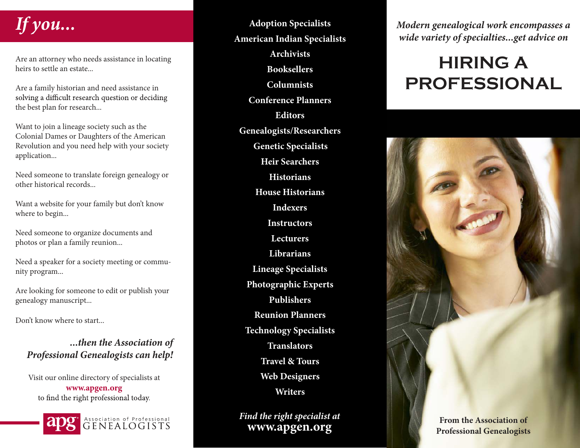## **If you...**

Are an attorney who needs assistance in locating heirs to settle an estate...

Are a family historian and need assistance in solving a difficult research question or deciding the best plan for research...

Want to join a lineage society such as the Colonial Dames or Daughters of the American Revolution and you need help with your society application...

Need someone to translate foreign genealogy or other historical records...

Want a website for your family but don't know where to begin...

Need someone to organize documents and photos or plan a family reunion...

Need a speaker for a society meeting or community program...

Are looking for someone to edit or publish your genealogy manuscript...

Don't know where to start...

**...then the Association of Professional Genealogists can help!**

Visit our online directory of specialists at **www.apgen.org** to find the right professional today.



Association of Professional GENEALOGISTS

**Adoption Specialists American Indian Specialists Archivists Booksellers Columnists Conference Planners Editors Genealogists/Researchers Genetic Specialists Heir Searchers Historians House Historians Indexers Instructors Lecturers Librarians Lineage Specialists Photographic Experts Publishers Reunion Planners Technology Specialists Translators Travel & Tours Web Designers Writers**

**Find the right specialist at www.apgen.org**

**Modern genealogical work encompasses a wide variety of specialties...get advice on**

## **HIRING A PROFESSIONAL**